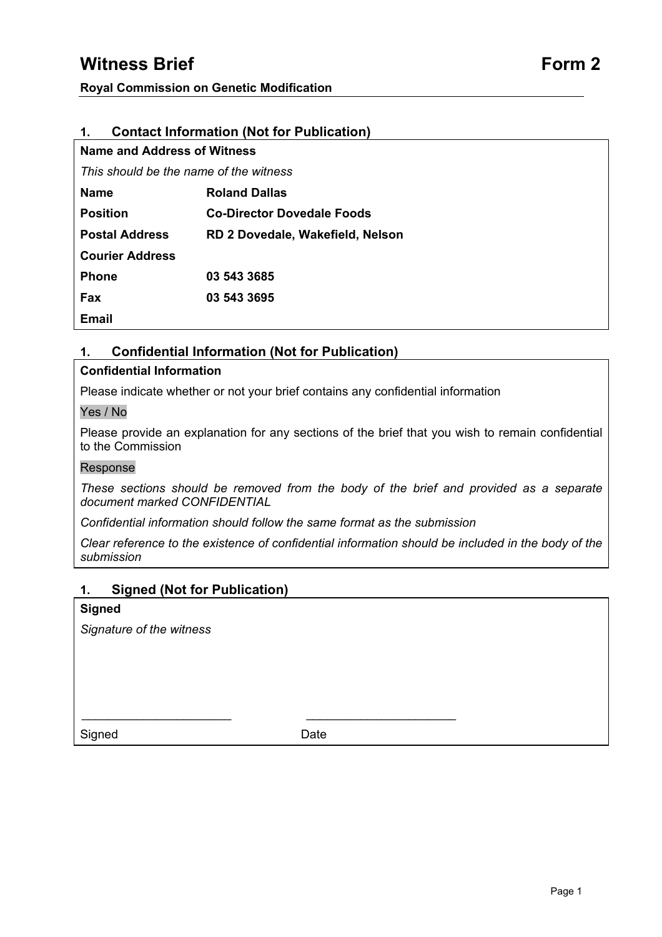# **Witness Brief Form 2 Form 2**

## **1. Contact Information (Not for Publication)**

| <b>Name and Address of Witness</b>     |                                  |
|----------------------------------------|----------------------------------|
| This should be the name of the witness |                                  |
| <b>Name</b>                            | <b>Roland Dallas</b>             |
| <b>Position</b>                        | Co-Director Dovedale Foods       |
| <b>Postal Address</b>                  | RD 2 Dovedale, Wakefield, Nelson |
| <b>Courier Address</b>                 |                                  |
| <b>Phone</b>                           | 03 543 3685                      |
| <b>Fax</b>                             | 03 543 3695                      |
| Email                                  |                                  |
|                                        |                                  |

## **1. Confidential Information (Not for Publication)**

### **Confidential Information**

Please indicate whether or not your brief contains any confidential information

### Yes / No

Please provide an explanation for any sections of the brief that you wish to remain confidential to the Commission

#### Response

*These sections should be removed from the body of the brief and provided as a separate document marked CONFIDENTIAL* 

*Confidential information should follow the same format as the submission* 

*Clear reference to the existence of confidential information should be included in the body of the submission* 

### **1. Signed (Not for Publication)**

#### **Signed**

*Signature of the witness* 

Signed Date

\_\_\_\_\_\_\_\_\_\_\_\_\_\_\_\_\_\_\_\_\_\_ \_\_\_\_\_\_\_\_\_\_\_\_\_\_\_\_\_\_\_\_\_\_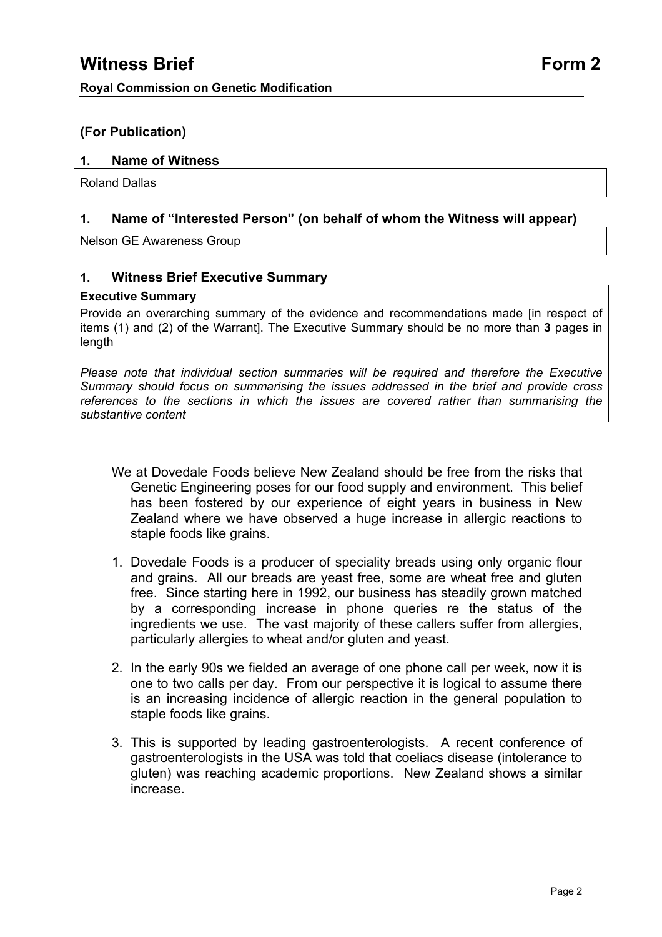# **(For Publication)**

## **1. Name of Witness**

Roland Dallas

# **1. Name of "Interested Person" (on behalf of whom the Witness will appear)**

Nelson GE Awareness Group

### **1. Witness Brief Executive Summary**

### **Executive Summary**

Provide an overarching summary of the evidence and recommendations made [in respect of items (1) and (2) of the Warrant]. The Executive Summary should be no more than **3** pages in length

*Please note that individual section summaries will be required and therefore the Executive Summary should focus on summarising the issues addressed in the brief and provide cross references to the sections in which the issues are covered rather than summarising the substantive content* 

- We at Dovedale Foods believe New Zealand should be free from the risks that Genetic Engineering poses for our food supply and environment. This belief has been fostered by our experience of eight years in business in New Zealand where we have observed a huge increase in allergic reactions to staple foods like grains.
- 1. Dovedale Foods is a producer of speciality breads using only organic flour and grains. All our breads are yeast free, some are wheat free and gluten free. Since starting here in 1992, our business has steadily grown matched by a corresponding increase in phone queries re the status of the ingredients we use. The vast majority of these callers suffer from allergies, particularly allergies to wheat and/or gluten and yeast.
- 2. In the early 90s we fielded an average of one phone call per week, now it is one to two calls per day. From our perspective it is logical to assume there is an increasing incidence of allergic reaction in the general population to staple foods like grains.
- 3. This is supported by leading gastroenterologists. A recent conference of gastroenterologists in the USA was told that coeliacs disease (intolerance to gluten) was reaching academic proportions. New Zealand shows a similar increase.